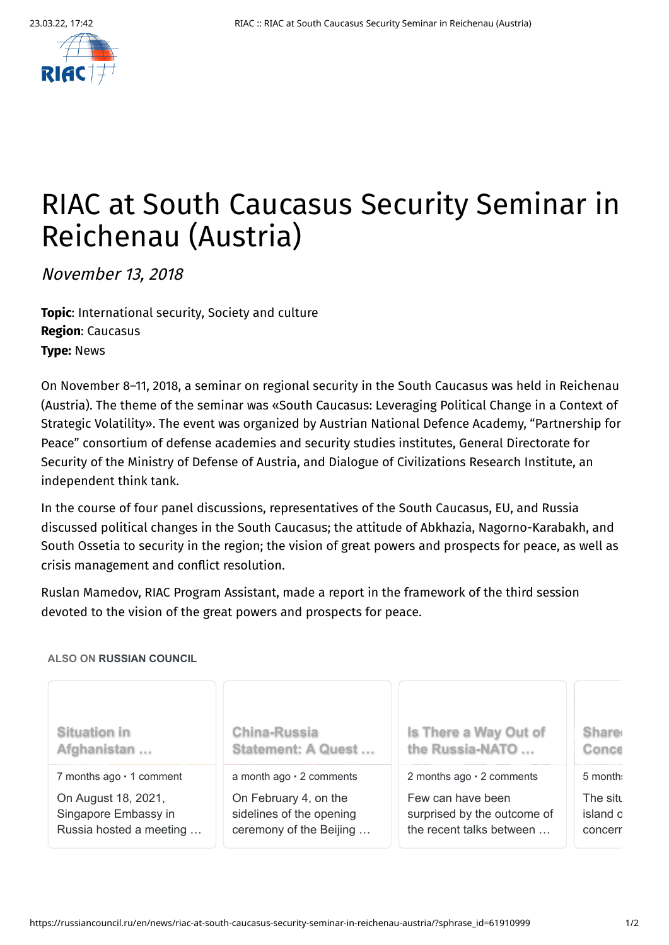

## RIAC at South Caucasus Security Seminar in Reichenau (Austria)

November 13, 2018

**Topic**: [International](https://russiancouncil.ru/en/topics/internationalsecurity/) security, [Society](https://russiancouncil.ru/en/topics/societyandculture/) and culture **Region**: [Caucasus](https://russiancouncil.ru/en/regions/caucasus/) **Type:** [News](https://russiancouncil.ru/en/news/)

On November 8–11, 2018, a seminar on regional security in the South Caucasus was held in Reichenau (Austria). The theme of the seminar was «South Caucasus: Leveraging Political Change in a Context of Strategic Volatility». The event was organized by Austrian National Defence Academy, "Partnership for Peace" consortium of defense academies and security studies institutes, General Directorate for Security of the Ministry of Defense of Austria, and Dialogue of Civilizations Research Institute, an independent think tank.

In the course of four panel discussions, representatives of the South Caucasus, EU, and Russia discussed political changes in the South Caucasus; the attitude of Abkhazia, Nagorno-Karabakh, and South Ossetia to security in the region; the vision of great powers and prospects for peace, as well as crisis management and conflict resolution.

Ruslan Mamedov, RIAC Program Assistant, made a report in the framework of the third session devoted to the vision of the great powers and prospects for peace.

## **ALSO ON RUSSIAN COUNCIL**

| <b>Situation in</b>            | <b>China-Russia</b>            | Is There a Way Out of           | <b>Share</b> |
|--------------------------------|--------------------------------|---------------------------------|--------------|
| Afghanistan                    | Statement: A Quest             | the Russia-NATO                 | Conce        |
| 7 months $ago \cdot 1$ comment | a month $ago \cdot 2$ comments | 2 months ago $\cdot$ 2 comments | 5 month:     |
| On August 18, 2021,            | On February 4, on the          | Few can have been               | The situ     |
| Singapore Embassy in           | sidelines of the opening       | surprised by the outcome of     | island c     |
| Russia hosted a meeting        | ceremony of the Beijing        | the recent talks between        | concerr      |